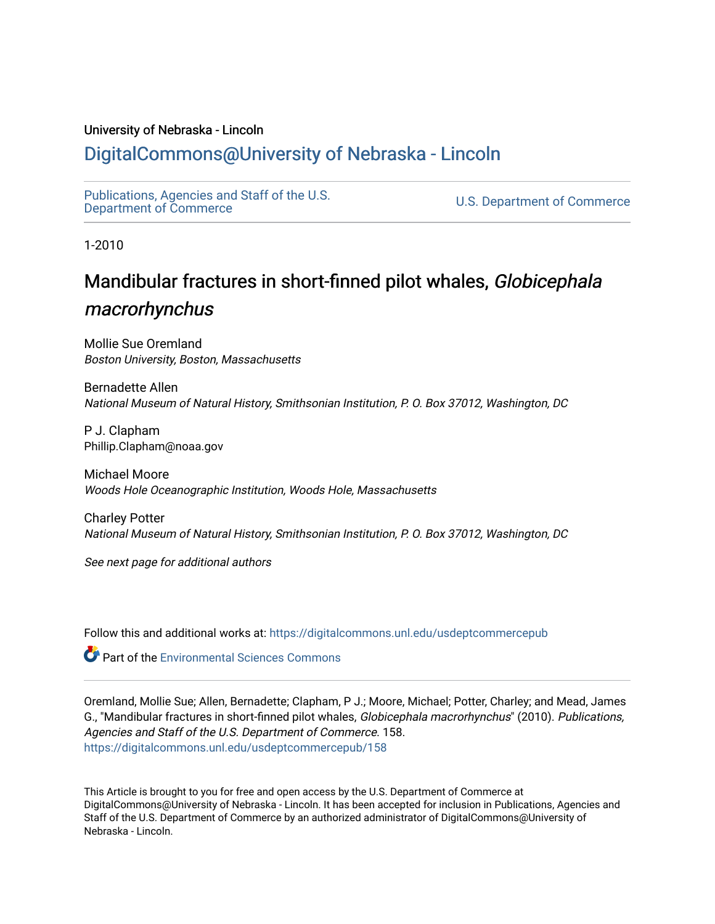#### University of Nebraska - Lincoln

## [DigitalCommons@University of Nebraska - Lincoln](https://digitalcommons.unl.edu/)

[Publications, Agencies and Staff of the U.S.](https://digitalcommons.unl.edu/usdeptcommercepub)

U.S. [Department of Commerce](https://digitalcommons.unl.edu/usdeptcommercepub)

1-2010

## Mandibular fractures in short-finned pilot whales, Globicephala macrorhynchus

Mollie Sue Oremland Boston University, Boston, Massachusetts

Bernadette Allen National Museum of Natural History, Smithsonian Institution, P. O. Box 37012, Washington, DC

P J. Clapham Phillip.Clapham@noaa.gov

Michael Moore Woods Hole Oceanographic Institution, Woods Hole, Massachusetts

Charley Potter National Museum of Natural History, Smithsonian Institution, P. O. Box 37012, Washington, DC

See next page for additional authors

Follow this and additional works at: [https://digitalcommons.unl.edu/usdeptcommercepub](https://digitalcommons.unl.edu/usdeptcommercepub?utm_source=digitalcommons.unl.edu%2Fusdeptcommercepub%2F158&utm_medium=PDF&utm_campaign=PDFCoverPages)

**Part of the [Environmental Sciences Commons](http://network.bepress.com/hgg/discipline/167?utm_source=digitalcommons.unl.edu%2Fusdeptcommercepub%2F158&utm_medium=PDF&utm_campaign=PDFCoverPages)** 

Oremland, Mollie Sue; Allen, Bernadette; Clapham, P J.; Moore, Michael; Potter, Charley; and Mead, James G., "Mandibular fractures in short-finned pilot whales, Globicephala macrorhynchus" (2010). Publications, Agencies and Staff of the U.S. Department of Commerce. 158. [https://digitalcommons.unl.edu/usdeptcommercepub/158](https://digitalcommons.unl.edu/usdeptcommercepub/158?utm_source=digitalcommons.unl.edu%2Fusdeptcommercepub%2F158&utm_medium=PDF&utm_campaign=PDFCoverPages) 

This Article is brought to you for free and open access by the U.S. Department of Commerce at DigitalCommons@University of Nebraska - Lincoln. It has been accepted for inclusion in Publications, Agencies and Staff of the U.S. Department of Commerce by an authorized administrator of DigitalCommons@University of Nebraska - Lincoln.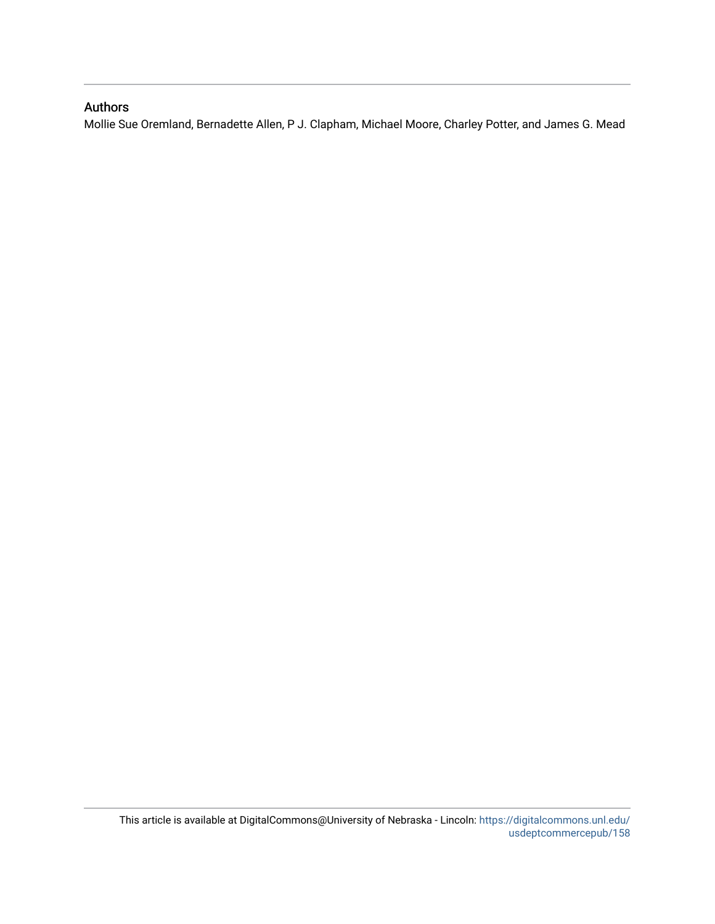### Authors

Mollie Sue Oremland, Bernadette Allen, P J. Clapham, Michael Moore, Charley Potter, and James G. Mead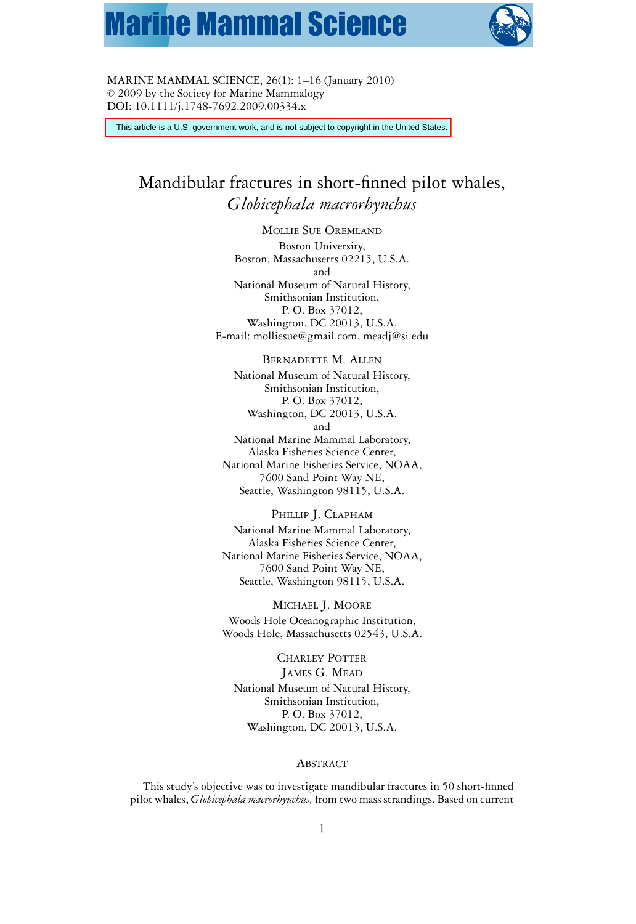# **Marine Mammal Science**



MARINE MAMMAL SCIENCE, 26(1): 1–16 (January 2010)  $© 2009$  by the Society for Marine Mammalogy DOI: 10.1111/j.1748-7692.2009.00334.x

This article is a U.S. government work, and is not subject to copyright in the United States.

## Mandibular fractures in short-finned pilot whales, *Globicephala macrorhynchus*

MOLLIE SUE OREMLAND Boston University, Boston, Massachusetts 02215, U.S.A. and National Museum of Natural History, Smithsonian Institution, P. O. Box 37012, Washington, DC 20013, U.S.A. E-mail: molliesue@gmail.com, meadj@si.edu

#### BERNADETTE M. ALLEN

National Museum of Natural History, Smithsonian Institution, P. O. Box 37012, Washington, DC 20013, U.S.A. and National Marine Mammal Laboratory, Alaska Fisheries Science Center, National Marine Fisheries Service, NOAA, 7600 Sand Point Way NE, Seattle, Washington 98115, U.S.A.

#### PHILLIP J. CLAPHAM

National Marine Mammal Laboratory, Alaska Fisheries Science Center, National Marine Fisheries Service, NOAA, 7600 Sand Point Way NE, Seattle, Washington 98115, U.S.A.

MICHAEL J. MOORE Woods Hole Oceanographic Institution, Woods Hole, Massachusetts 02543, U.S.A.

CHARLEY POTTER JAMES G. MEAD National Museum of Natural History, Smithsonian Institution, P. O. Box 37012, Washington, DC 20013, U.S.A.

#### **ABSTRACT**

This study's objective was to investigate mandibular fractures in 50 short-finned pilot whales, *Globicephala macrorhynchus,* from two mass strandings. Based on current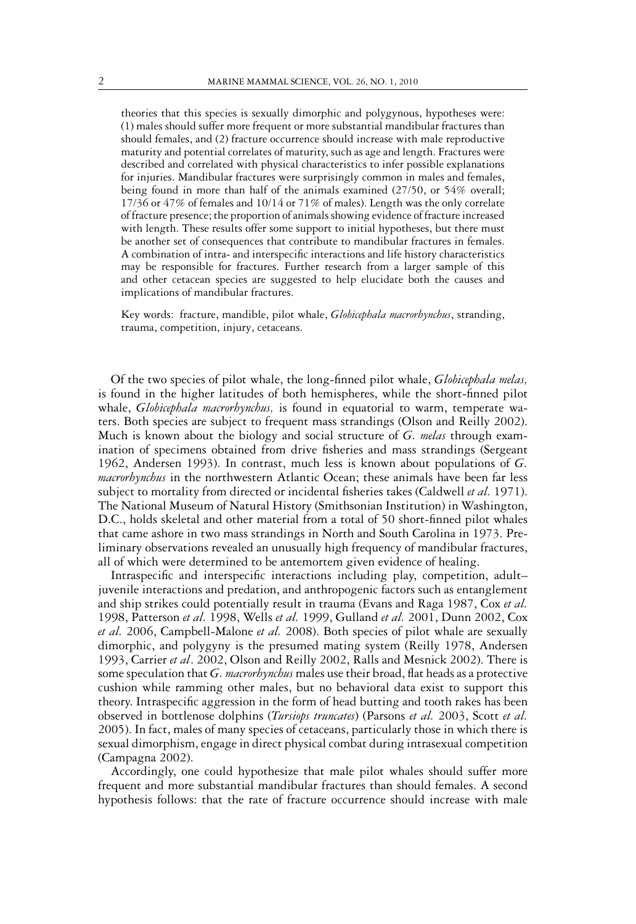theories that this species is sexually dimorphic and polygynous, hypotheses were: (1) males should suffer more frequent or more substantial mandibular fractures than should females, and (2) fracture occurrence should increase with male reproductive maturity and potential correlates of maturity, such as age and length. Fractures were described and correlated with physical characteristics to infer possible explanations for injuries. Mandibular fractures were surprisingly common in males and females, being found in more than half of the animals examined (27/50, or 54% overall; 17/36 or 47% of females and 10/14 or 71% of males). Length was the only correlate of fracture presence; the proportion of animals showing evidence of fracture increased with length. These results offer some support to initial hypotheses, but there must be another set of consequences that contribute to mandibular fractures in females. A combination of intra- and interspecific interactions and life history characteristics may be responsible for fractures. Further research from a larger sample of this and other cetacean species are suggested to help elucidate both the causes and implications of mandibular fractures.

Key words: fracture, mandible, pilot whale, *Globicephala macrorhynchus*, stranding, trauma, competition, injury, cetaceans.

Of the two species of pilot whale, the long-finned pilot whale, *Globicephala melas,* is found in the higher latitudes of both hemispheres, while the short-finned pilot whale, *Globicephala macrorhynchus,* is found in equatorial to warm, temperate waters. Both species are subject to frequent mass strandings (Olson and Reilly 2002). Much is known about the biology and social structure of *G. melas* through examination of specimens obtained from drive fisheries and mass strandings (Sergeant 1962, Andersen 1993). In contrast, much less is known about populations of *G. macrorhynchus* in the northwestern Atlantic Ocean; these animals have been far less subject to mortality from directed or incidental fisheries takes (Caldwell *et al.* 1971). The National Museum of Natural History (Smithsonian Institution) in Washington, D.C., holds skeletal and other material from a total of 50 short-finned pilot whales that came ashore in two mass strandings in North and South Carolina in 1973. Preliminary observations revealed an unusually high frequency of mandibular fractures, all of which were determined to be antemortem given evidence of healing.

Intraspecific and interspecific interactions including play, competition, adult– juvenile interactions and predation, and anthropogenic factors such as entanglement and ship strikes could potentially result in trauma (Evans and Raga 1987, Cox *et al.* 1998, Patterson *et al.* 1998, Wells *et al.* 1999, Gulland *et al.* 2001, Dunn 2002, Cox *et al.* 2006, Campbell-Malone *et al.* 2008). Both species of pilot whale are sexually dimorphic, and polygyny is the presumed mating system (Reilly 1978, Andersen 1993, Carrier *et al*. 2002, Olson and Reilly 2002, Ralls and Mesnick 2002). There is some speculation that *G. macrorhynchus* males use their broad, flat heads as a protective cushion while ramming other males, but no behavioral data exist to support this theory. Intraspecific aggression in the form of head butting and tooth rakes has been observed in bottlenose dolphins (*Tursiops truncates*) (Parsons *et al.* 2003, Scott *et al.* 2005). In fact, males of many species of cetaceans, particularly those in which there is sexual dimorphism, engage in direct physical combat during intrasexual competition (Campagna 2002).

Accordingly, one could hypothesize that male pilot whales should suffer more frequent and more substantial mandibular fractures than should females. A second hypothesis follows: that the rate of fracture occurrence should increase with male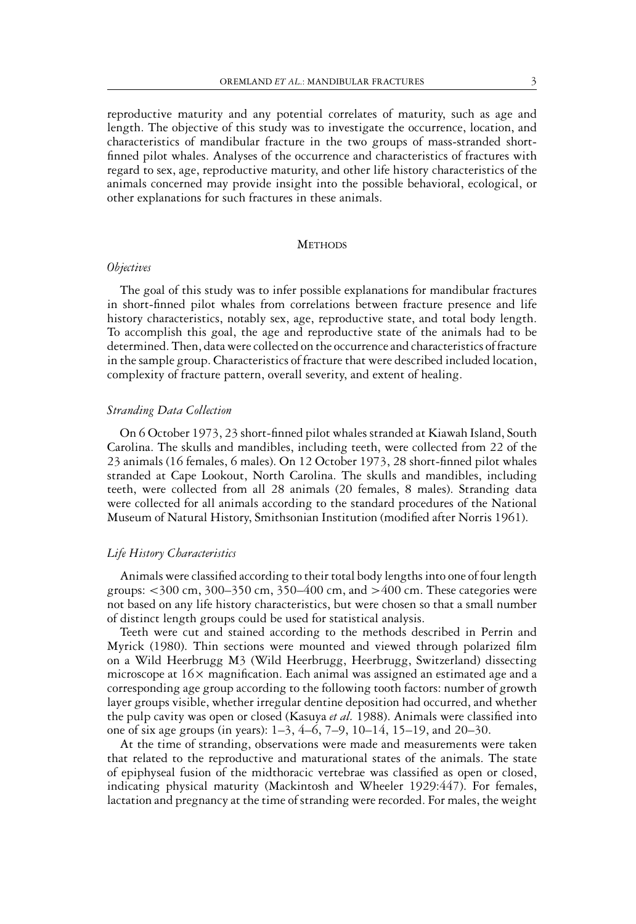reproductive maturity and any potential correlates of maturity, such as age and length. The objective of this study was to investigate the occurrence, location, and characteristics of mandibular fracture in the two groups of mass-stranded shortfinned pilot whales. Analyses of the occurrence and characteristics of fractures with regard to sex, age, reproductive maturity, and other life history characteristics of the animals concerned may provide insight into the possible behavioral, ecological, or other explanations for such fractures in these animals.

#### **METHODS**

#### *Objectives*

The goal of this study was to infer possible explanations for mandibular fractures in short-finned pilot whales from correlations between fracture presence and life history characteristics, notably sex, age, reproductive state, and total body length. To accomplish this goal, the age and reproductive state of the animals had to be determined. Then, data were collected on the occurrence and characteristics of fracture in the sample group. Characteristics of fracture that were described included location, complexity of fracture pattern, overall severity, and extent of healing.

#### *Stranding Data Collection*

On 6 October 1973, 23 short-finned pilot whales stranded at Kiawah Island, South Carolina. The skulls and mandibles, including teeth, were collected from 22 of the 23 animals (16 females, 6 males). On 12 October 1973, 28 short-finned pilot whales stranded at Cape Lookout, North Carolina. The skulls and mandibles, including teeth, were collected from all 28 animals (20 females, 8 males). Stranding data were collected for all animals according to the standard procedures of the National Museum of Natural History, Smithsonian Institution (modified after Norris 1961).

#### *Life History Characteristics*

Animals were classified according to their total body lengths into one of four length groups:  $\lt$ 300 cm, 300–350 cm, 350–400 cm, and  $>400$  cm. These categories were not based on any life history characteristics, but were chosen so that a small number of distinct length groups could be used for statistical analysis.

Teeth were cut and stained according to the methods described in Perrin and Myrick (1980). Thin sections were mounted and viewed through polarized film on a Wild Heerbrugg M3 (Wild Heerbrugg, Heerbrugg, Switzerland) dissecting microscope at  $16\times$  magnification. Each animal was assigned an estimated age and a corresponding age group according to the following tooth factors: number of growth layer groups visible, whether irregular dentine deposition had occurred, and whether the pulp cavity was open or closed (Kasuya *et al.* 1988). Animals were classified into one of six age groups (in years): 1–3, 4–6, 7–9, 10–14, 15–19, and 20–30.

At the time of stranding, observations were made and measurements were taken that related to the reproductive and maturational states of the animals. The state of epiphyseal fusion of the midthoracic vertebrae was classified as open or closed, indicating physical maturity (Mackintosh and Wheeler 1929:447). For females, lactation and pregnancy at the time of stranding were recorded. For males, the weight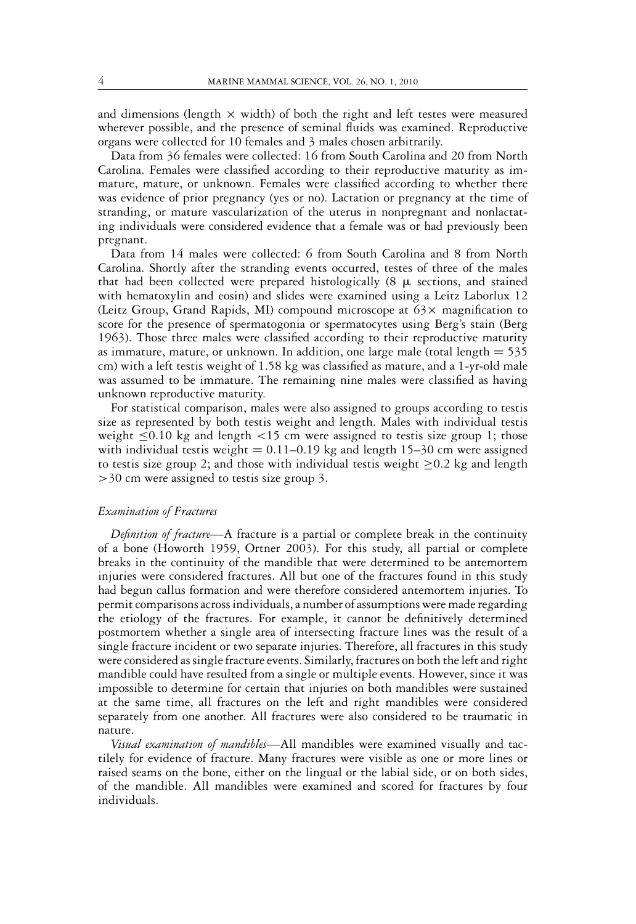and dimensions (length  $\times$  width) of both the right and left testes were measured wherever possible, and the presence of seminal fluids was examined. Reproductive organs were collected for 10 females and 3 males chosen arbitrarily.

Data from 36 females were collected: 16 from South Carolina and 20 from North Carolina. Females were classified according to their reproductive maturity as immature, mature, or unknown. Females were classified according to whether there was evidence of prior pregnancy (yes or no). Lactation or pregnancy at the time of stranding, or mature vascularization of the uterus in nonpregnant and nonlactating individuals were considered evidence that a female was or had previously been pregnant.

Data from 14 males were collected: 6 from South Carolina and 8 from North Carolina. Shortly after the stranding events occurred, testes of three of the males that had been collected were prepared histologically (8  $\mu$  sections, and stained with hematoxylin and eosin) and slides were examined using a Leitz Laborlux 12 (Leitz Group, Grand Rapids, MI) compound microscope at  $63\times$  magnification to score for the presence of spermatogonia or spermatocytes using Berg's stain (Berg 1963). Those three males were classified according to their reproductive maturity as immature, mature, or unknown. In addition, one large male (total length = 535 cm) with a left testis weight of 1.58 kg was classified as mature, and a 1-yr-old male was assumed to be immature. The remaining nine males were classified as having unknown reproductive maturity.

For statistical comparison, males were also assigned to groups according to testis size as represented by both testis weight and length. Males with individual testis weight  $\leq 0.10$  kg and length <15 cm were assigned to testis size group 1; those with individual testis weight  $= 0.11 - 0.19$  kg and length 15–30 cm were assigned to testis size group 2; and those with individual testis weight  $\geq 0.2$  kg and length >30 cm were assigned to testis size group 3.

#### *Examination of Fractures*

*Definition of fracture—*A fracture is a partial or complete break in the continuity of a bone (Howorth 1959, Ortner 2003). For this study, all partial or complete breaks in the continuity of the mandible that were determined to be antemortem injuries were considered fractures. All but one of the fractures found in this study had begun callus formation and were therefore considered antemortem injuries. To permit comparisons across individuals, a number of assumptions were made regarding the etiology of the fractures. For example, it cannot be definitively determined postmortem whether a single area of intersecting fracture lines was the result of a single fracture incident or two separate injuries. Therefore, all fractures in this study were considered as single fracture events. Similarly, fractures on both the left and right mandible could have resulted from a single or multiple events. However, since it was impossible to determine for certain that injuries on both mandibles were sustained at the same time, all fractures on the left and right mandibles were considered separately from one another. All fractures were also considered to be traumatic in nature.

*Visual examination of mandibles—*All mandibles were examined visually and tactilely for evidence of fracture. Many fractures were visible as one or more lines or raised seams on the bone, either on the lingual or the labial side, or on both sides, of the mandible. All mandibles were examined and scored for fractures by four individuals.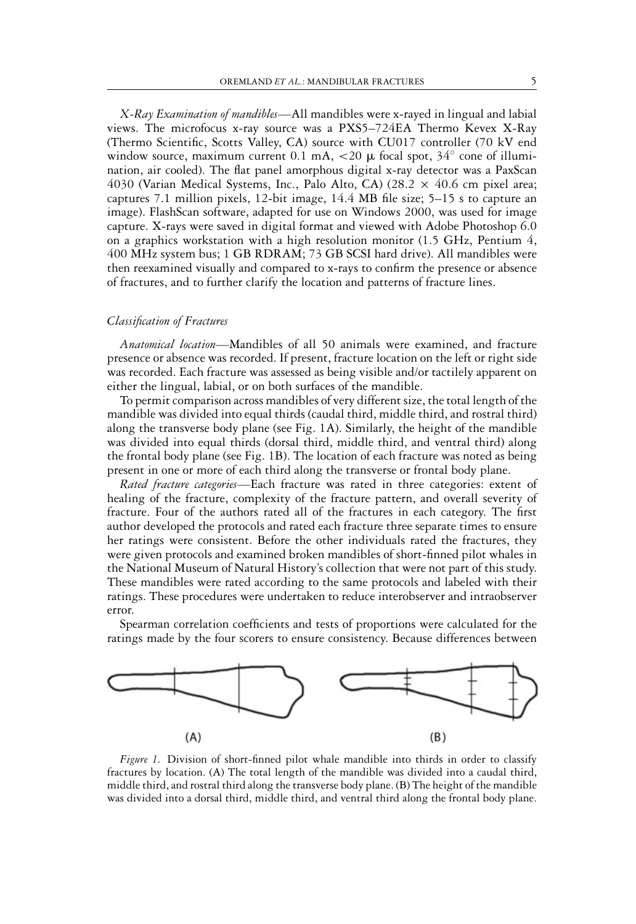*X-Ray Examination of mandibles—*All mandibles were x-rayed in lingual and labial views. The microfocus x-ray source was a PXS5–724EA Thermo Kevex X-Ray (Thermo Scientific, Scotts Valley, CA) source with CU017 controller (70 kV end window source, maximum current 0.1 mA, <20  $\mu$  focal spot, 34 $^{\circ}$  cone of illumination, air cooled). The flat panel amorphous digital x-ray detector was a PaxScan 4030 (Varian Medical Systems, Inc., Palo Alto, CA) (28.2  $\times$  40.6 cm pixel area; captures 7.1 million pixels, 12-bit image, 14.4 MB file size; 5–15 s to capture an image). FlashScan software, adapted for use on Windows 2000, was used for image capture. X-rays were saved in digital format and viewed with Adobe Photoshop 6.0 on a graphics workstation with a high resolution monitor (1.5 GHz, Pentium 4, 400 MHz system bus; 1 GB RDRAM; 73 GB SCSI hard drive). All mandibles were then reexamined visually and compared to x-rays to confirm the presence or absence of fractures, and to further clarify the location and patterns of fracture lines.

#### *Classification of Fractures*

*Anatomical location—*Mandibles of all 50 animals were examined, and fracture presence or absence was recorded. If present, fracture location on the left or right side was recorded. Each fracture was assessed as being visible and/or tactilely apparent on either the lingual, labial, or on both surfaces of the mandible.

To permit comparison across mandibles of very different size, the total length of the mandible was divided into equal thirds (caudal third, middle third, and rostral third) along the transverse body plane (see Fig. 1A). Similarly, the height of the mandible was divided into equal thirds (dorsal third, middle third, and ventral third) along the frontal body plane (see Fig. 1B). The location of each fracture was noted as being present in one or more of each third along the transverse or frontal body plane.

*Rated fracture categories—*Each fracture was rated in three categories: extent of healing of the fracture, complexity of the fracture pattern, and overall severity of fracture. Four of the authors rated all of the fractures in each category. The first author developed the protocols and rated each fracture three separate times to ensure her ratings were consistent. Before the other individuals rated the fractures, they were given protocols and examined broken mandibles of short-finned pilot whales in the National Museum of Natural History's collection that were not part of this study. These mandibles were rated according to the same protocols and labeled with their ratings. These procedures were undertaken to reduce interobserver and intraobserver error.

Spearman correlation coefficients and tests of proportions were calculated for the ratings made by the four scorers to ensure consistency. Because differences between



*Figure 1.* Division of short-finned pilot whale mandible into thirds in order to classify fractures by location. (A) The total length of the mandible was divided into a caudal third, middle third, and rostral third along the transverse body plane. (B) The height of the mandible was divided into a dorsal third, middle third, and ventral third along the frontal body plane.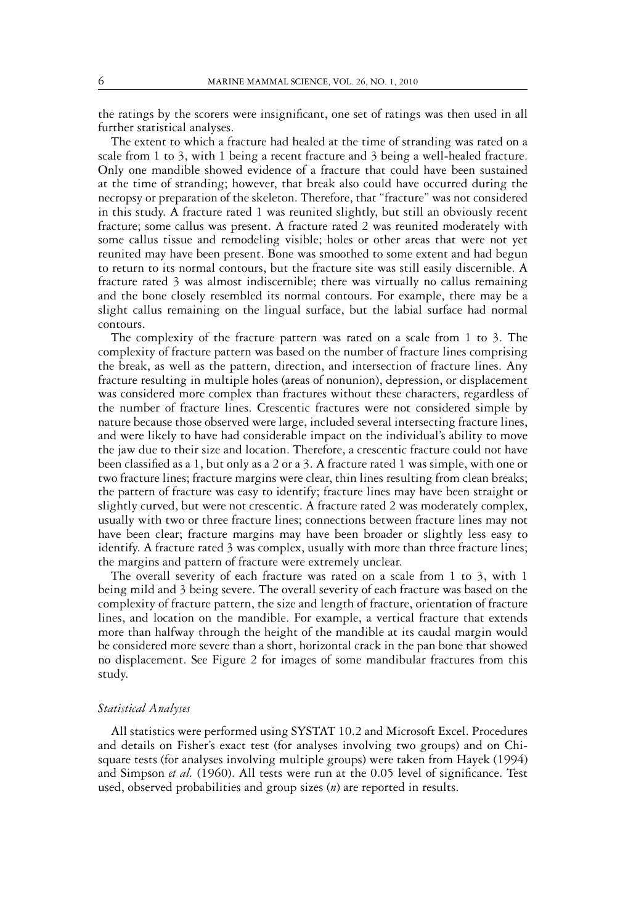the ratings by the scorers were insignificant, one set of ratings was then used in all further statistical analyses.

The extent to which a fracture had healed at the time of stranding was rated on a scale from 1 to 3, with 1 being a recent fracture and 3 being a well-healed fracture. Only one mandible showed evidence of a fracture that could have been sustained at the time of stranding; however, that break also could have occurred during the necropsy or preparation of the skeleton. Therefore, that "fracture" was not considered in this study. A fracture rated 1 was reunited slightly, but still an obviously recent fracture; some callus was present. A fracture rated 2 was reunited moderately with some callus tissue and remodeling visible; holes or other areas that were not yet reunited may have been present. Bone was smoothed to some extent and had begun to return to its normal contours, but the fracture site was still easily discernible. A fracture rated 3 was almost indiscernible; there was virtually no callus remaining and the bone closely resembled its normal contours. For example, there may be a slight callus remaining on the lingual surface, but the labial surface had normal contours.

The complexity of the fracture pattern was rated on a scale from 1 to 3. The complexity of fracture pattern was based on the number of fracture lines comprising the break, as well as the pattern, direction, and intersection of fracture lines. Any fracture resulting in multiple holes (areas of nonunion), depression, or displacement was considered more complex than fractures without these characters, regardless of the number of fracture lines. Crescentic fractures were not considered simple by nature because those observed were large, included several intersecting fracture lines, and were likely to have had considerable impact on the individual's ability to move the jaw due to their size and location. Therefore, a crescentic fracture could not have been classified as a 1, but only as a 2 or a 3. A fracture rated 1 was simple, with one or two fracture lines; fracture margins were clear, thin lines resulting from clean breaks; the pattern of fracture was easy to identify; fracture lines may have been straight or slightly curved, but were not crescentic. A fracture rated 2 was moderately complex, usually with two or three fracture lines; connections between fracture lines may not have been clear; fracture margins may have been broader or slightly less easy to identify. A fracture rated 3 was complex, usually with more than three fracture lines; the margins and pattern of fracture were extremely unclear.

The overall severity of each fracture was rated on a scale from 1 to 3, with 1 being mild and 3 being severe. The overall severity of each fracture was based on the complexity of fracture pattern, the size and length of fracture, orientation of fracture lines, and location on the mandible. For example, a vertical fracture that extends more than halfway through the height of the mandible at its caudal margin would be considered more severe than a short, horizontal crack in the pan bone that showed no displacement. See Figure 2 for images of some mandibular fractures from this study.

#### *Statistical Analyses*

All statistics were performed using SYSTAT 10.2 and Microsoft Excel. Procedures and details on Fisher's exact test (for analyses involving two groups) and on Chisquare tests (for analyses involving multiple groups) were taken from Hayek (1994) and Simpson *et al.* (1960). All tests were run at the 0.05 level of significance. Test used, observed probabilities and group sizes (*n*) are reported in results.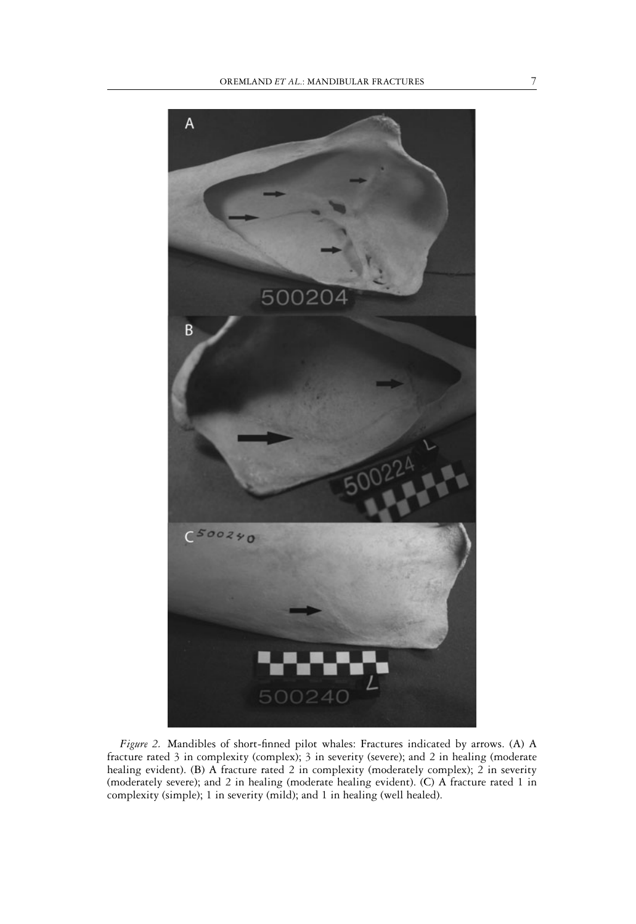

*Figure 2.* Mandibles of short-finned pilot whales: Fractures indicated by arrows. (A) A fracture rated 3 in complexity (complex); 3 in severity (severe); and 2 in healing (moderate healing evident). (B) A fracture rated 2 in complexity (moderately complex); 2 in severity (moderately severe); and 2 in healing (moderate healing evident). (C) A fracture rated 1 in complexity (simple); 1 in severity (mild); and 1 in healing (well healed).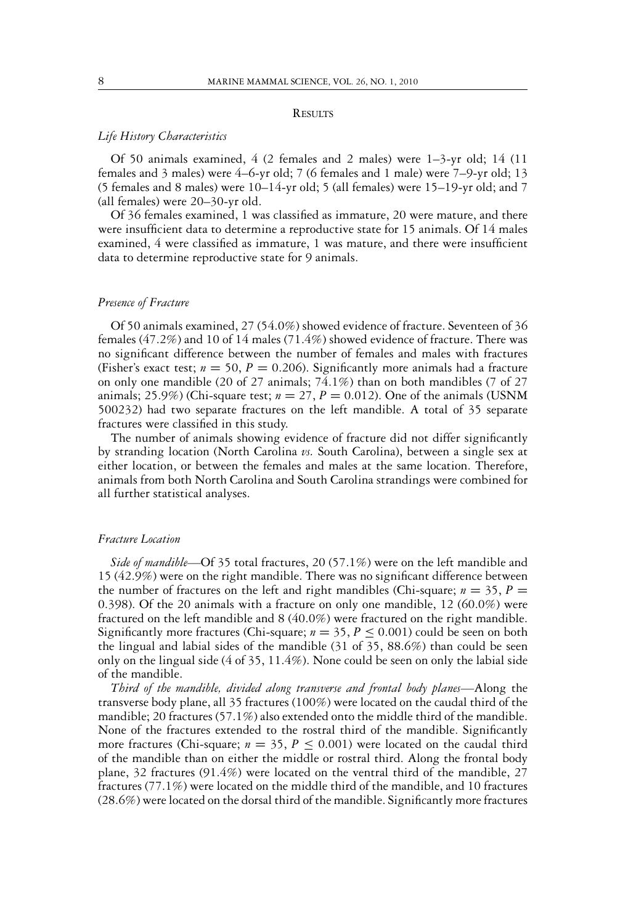#### **RESULTS**

#### *Life History Characteristics*

Of 50 animals examined, 4 (2 females and 2 males) were 1–3-yr old; 14 (11 females and 3 males) were 4–6-yr old; 7 (6 females and 1 male) were 7–9-yr old; 13 (5 females and 8 males) were  $10-14$ -yr old; 5 (all females) were  $15-19$ -yr old; and 7 (all females) were 20–30-yr old.

Of 36 females examined, 1 was classified as immature, 20 were mature, and there were insufficient data to determine a reproductive state for 15 animals. Of 14 males examined, 4 were classified as immature, 1 was mature, and there were insufficient data to determine reproductive state for 9 animals.

#### *Presence of Fracture*

Of 50 animals examined, 27 (54.0%) showed evidence of fracture. Seventeen of 36 females (47.2%) and 10 of 14 males (71.4%) showed evidence of fracture. There was no significant difference between the number of females and males with fractures (Fisher's exact test;  $n = 50$ ,  $P = 0.206$ ). Significantly more animals had a fracture on only one mandible (20 of 27 animals; 74.1%) than on both mandibles (7 of 27 animals; 25.9%) (Chi-square test;  $n = 27$ ,  $P = 0.012$ ). One of the animals (USNM 500232) had two separate fractures on the left mandible. A total of 35 separate fractures were classified in this study.

The number of animals showing evidence of fracture did not differ significantly by stranding location (North Carolina *vs.* South Carolina), between a single sex at either location, or between the females and males at the same location. Therefore, animals from both North Carolina and South Carolina strandings were combined for all further statistical analyses.

#### *Fracture Location*

*Side of mandible—*Of 35 total fractures, 20 (57.1%) were on the left mandible and 15 (42.9%) were on the right mandible. There was no significant difference between the number of fractures on the left and right mandibles (Chi-square;  $n = 35$ ,  $P =$ 0.398). Of the 20 animals with a fracture on only one mandible,  $12 (60.0%)$  were fractured on the left mandible and 8 (40.0%) were fractured on the right mandible. Significantly more fractures (Chi-square;  $n = 35$ ,  $P \le 0.001$ ) could be seen on both the lingual and labial sides of the mandible (31 of 35, 88.6%) than could be seen only on the lingual side (4 of 35, 11.4%). None could be seen on only the labial side of the mandible.

*Third of the mandible, divided along transverse and frontal body planes—*Along the transverse body plane, all 35 fractures (100%) were located on the caudal third of the mandible; 20 fractures (57.1%) also extended onto the middle third of the mandible. None of the fractures extended to the rostral third of the mandible. Significantly more fractures (Chi-square;  $n = 35$ ,  $P \le 0.001$ ) were located on the caudal third of the mandible than on either the middle or rostral third. Along the frontal body plane, 32 fractures (91.4%) were located on the ventral third of the mandible, 27 fractures (77.1%) were located on the middle third of the mandible, and 10 fractures (28.6%) were located on the dorsal third of the mandible. Significantly more fractures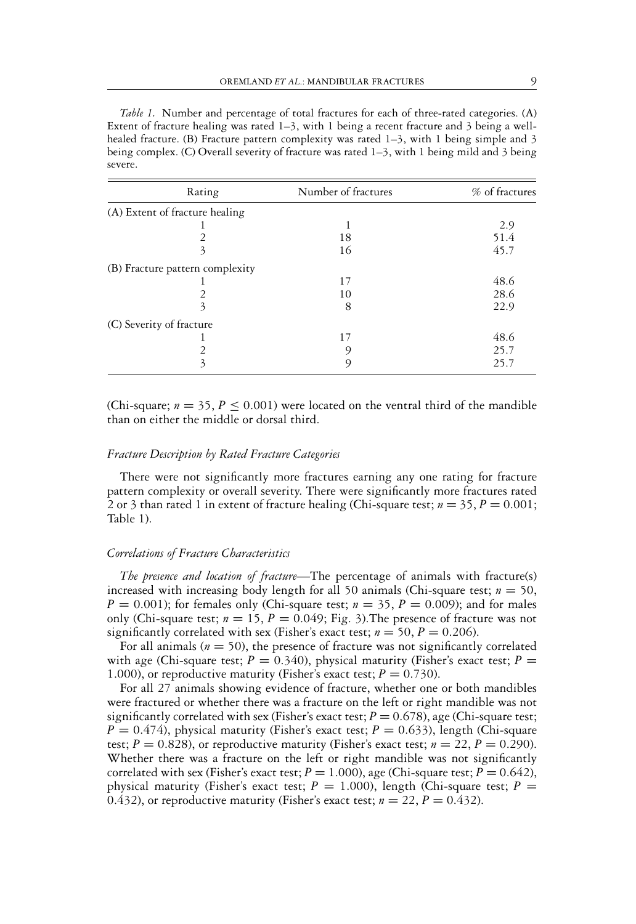*Table 1.* Number and percentage of total fractures for each of three-rated categories. (A) Extent of fracture healing was rated 1–3, with 1 being a recent fracture and 3 being a wellhealed fracture. (B) Fracture pattern complexity was rated 1–3, with 1 being simple and 3 being complex. (C) Overall severity of fracture was rated 1–3, with 1 being mild and 3 being severe.

| Rating                          | Number of fractures | % of fractures |
|---------------------------------|---------------------|----------------|
| (A) Extent of fracture healing  |                     |                |
|                                 |                     | 2.9            |
| 2                               | 18                  | 51.4           |
| 3                               | 16                  | 45.7           |
| (B) Fracture pattern complexity |                     |                |
|                                 | 17                  | 48.6           |
| 2                               | 10                  | 28.6           |
| 3                               | 8                   | 22.9           |
| (C) Severity of fracture        |                     |                |
|                                 | 17                  | 48.6           |
| 2                               | O)                  | 25.7           |
| 3                               | 9                   | 25.7           |

(Chi-square;  $n = 35$ ,  $P \le 0.001$ ) were located on the ventral third of the mandible than on either the middle or dorsal third.

#### *Fracture Description by Rated Fracture Categories*

There were not significantly more fractures earning any one rating for fracture pattern complexity or overall severity. There were significantly more fractures rated 2 or 3 than rated 1 in extent of fracture healing (Chi-square test;  $n = 35$ ,  $P = 0.001$ ; Table 1).

#### *Correlations of Fracture Characteristics*

*The presence and location of fracture—*The percentage of animals with fracture(s) increased with increasing body length for all 50 animals (Chi-square test; *n* = 50,  $P = 0.001$ ; for females only (Chi-square test;  $n = 35$ ,  $P = 0.009$ ); and for males only (Chi-square test;  $n = 15$ ,  $P = 0.049$ ; Fig. 3). The presence of fracture was not significantly correlated with sex (Fisher's exact test;  $n = 50$ ,  $P = 0.206$ ).

For all animals  $(n = 50)$ , the presence of fracture was not significantly correlated with age (Chi-square test;  $P = 0.340$ ), physical maturity (Fisher's exact test;  $P =$ 1.000), or reproductive maturity (Fisher's exact test;  $P = 0.730$ ).

For all 27 animals showing evidence of fracture, whether one or both mandibles were fractured or whether there was a fracture on the left or right mandible was not significantly correlated with sex (Fisher's exact test;  $P = 0.678$ ), age (Chi-square test;  $P = 0.474$ ), physical maturity (Fisher's exact test;  $P = 0.633$ ), length (Chi-square test;  $P = 0.828$ ), or reproductive maturity (Fisher's exact test;  $n = 22$ ,  $P = 0.290$ ). Whether there was a fracture on the left or right mandible was not significantly correlated with sex (Fisher's exact test;  $P = 1.000$ ), age (Chi-square test;  $P = 0.642$ ), physical maturity (Fisher's exact test;  $P = 1.000$ ), length (Chi-square test;  $P =$ 0.432), or reproductive maturity (Fisher's exact test;  $n = 22$ ,  $P = 0.432$ ).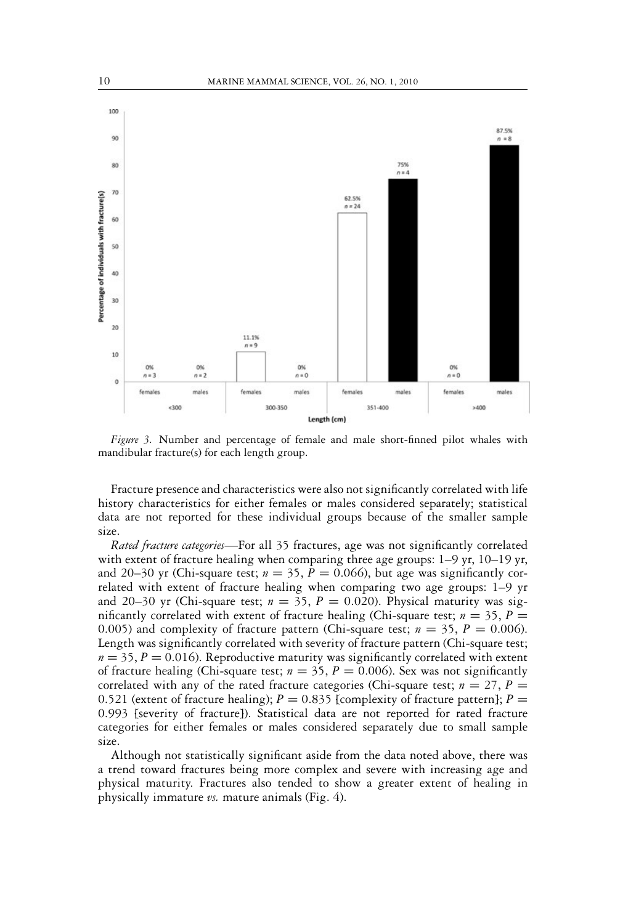

*Figure 3.* Number and percentage of female and male short-finned pilot whales with mandibular fracture(s) for each length group.

Fracture presence and characteristics were also not significantly correlated with life history characteristics for either females or males considered separately; statistical data are not reported for these individual groups because of the smaller sample size.

*Rated fracture categories—*For all 35 fractures, age was not significantly correlated with extent of fracture healing when comparing three age groups: 1–9 yr, 10–19 yr, and 20–30 yr (Chi-square test;  $n = 35$ ,  $P = 0.066$ ), but age was significantly correlated with extent of fracture healing when comparing two age groups: 1–9 yr and 20–30 yr (Chi-square test;  $n = 35$ ,  $P = 0.020$ ). Physical maturity was significantly correlated with extent of fracture healing (Chi-square test;  $n = 35$ ,  $P =$ 0.005) and complexity of fracture pattern (Chi-square test;  $n = 35$ ,  $P = 0.006$ ). Length was significantly correlated with severity of fracture pattern (Chi-square test;  $n = 35$ ,  $P = 0.016$ ). Reproductive maturity was significantly correlated with extent of fracture healing (Chi-square test;  $n = 35$ ,  $P = 0.006$ ). Sex was not significantly correlated with any of the rated fracture categories (Chi-square test;  $n = 27$ ,  $P =$ 0.521 (extent of fracture healing);  $P = 0.835$  [complexity of fracture pattern];  $P =$ 0.993 [severity of fracture]). Statistical data are not reported for rated fracture categories for either females or males considered separately due to small sample size.

Although not statistically significant aside from the data noted above, there was a trend toward fractures being more complex and severe with increasing age and physical maturity. Fractures also tended to show a greater extent of healing in physically immature *vs.* mature animals (Fig. 4).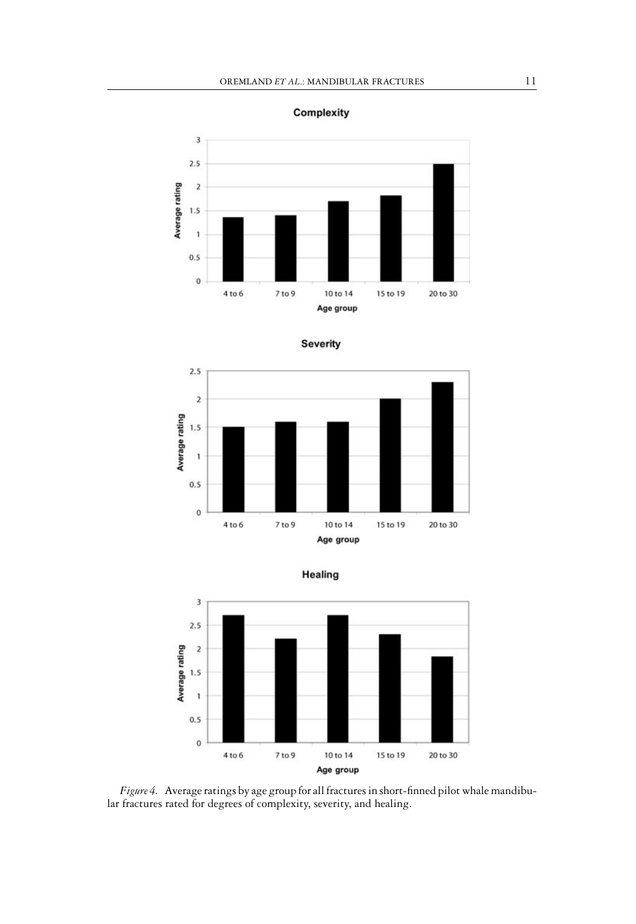











*Figure 4.* Average ratings by age group for all fractures in short-finned pilot whale mandibular fractures rated for degrees of complexity, severity, and healing.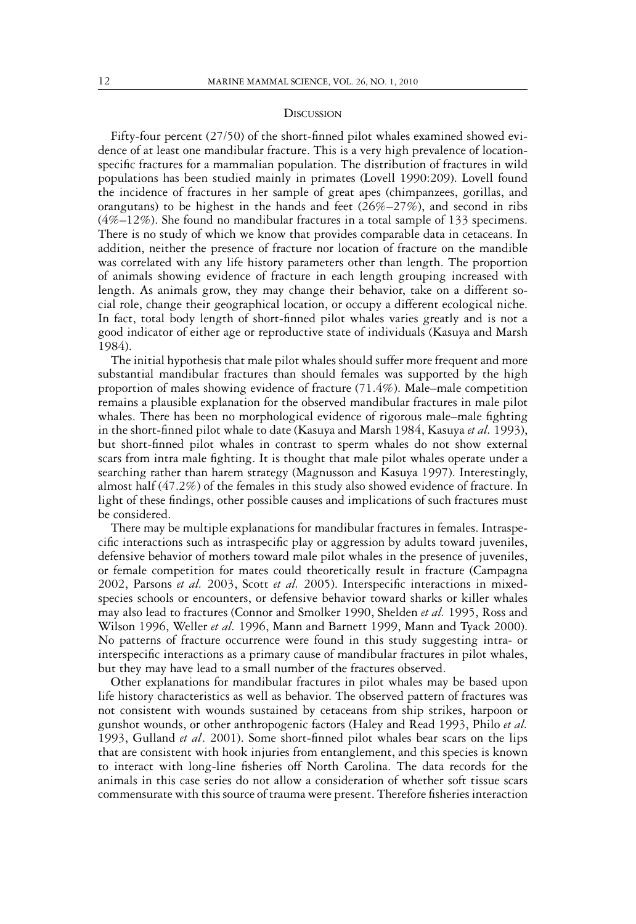#### **DISCUSSION**

Fifty-four percent (27/50) of the short-finned pilot whales examined showed evidence of at least one mandibular fracture. This is a very high prevalence of locationspecific fractures for a mammalian population. The distribution of fractures in wild populations has been studied mainly in primates (Lovell 1990:209). Lovell found the incidence of fractures in her sample of great apes (chimpanzees, gorillas, and orangutans) to be highest in the hands and feet  $(26\%-27\%)$ , and second in ribs (4%–12%). She found no mandibular fractures in a total sample of 133 specimens. There is no study of which we know that provides comparable data in cetaceans. In addition, neither the presence of fracture nor location of fracture on the mandible was correlated with any life history parameters other than length. The proportion of animals showing evidence of fracture in each length grouping increased with length. As animals grow, they may change their behavior, take on a different social role, change their geographical location, or occupy a different ecological niche. In fact, total body length of short-finned pilot whales varies greatly and is not a good indicator of either age or reproductive state of individuals (Kasuya and Marsh 1984).

The initial hypothesis that male pilot whales should suffer more frequent and more substantial mandibular fractures than should females was supported by the high proportion of males showing evidence of fracture (71.4%). Male–male competition remains a plausible explanation for the observed mandibular fractures in male pilot whales. There has been no morphological evidence of rigorous male–male fighting in the short-finned pilot whale to date (Kasuya and Marsh 1984, Kasuya *et al.* 1993), but short-finned pilot whales in contrast to sperm whales do not show external scars from intra male fighting. It is thought that male pilot whales operate under a searching rather than harem strategy (Magnusson and Kasuya 1997). Interestingly, almost half (47.2%) of the females in this study also showed evidence of fracture. In light of these findings, other possible causes and implications of such fractures must be considered.

There may be multiple explanations for mandibular fractures in females. Intraspecific interactions such as intraspecific play or aggression by adults toward juveniles, defensive behavior of mothers toward male pilot whales in the presence of juveniles, or female competition for mates could theoretically result in fracture (Campagna 2002, Parsons *et al.* 2003, Scott *et al.* 2005). Interspecific interactions in mixedspecies schools or encounters, or defensive behavior toward sharks or killer whales may also lead to fractures (Connor and Smolker 1990, Shelden *et al.* 1995, Ross and Wilson 1996, Weller *et al.* 1996, Mann and Barnett 1999, Mann and Tyack 2000). No patterns of fracture occurrence were found in this study suggesting intra- or interspecific interactions as a primary cause of mandibular fractures in pilot whales, but they may have lead to a small number of the fractures observed.

Other explanations for mandibular fractures in pilot whales may be based upon life history characteristics as well as behavior. The observed pattern of fractures was not consistent with wounds sustained by cetaceans from ship strikes, harpoon or gunshot wounds, or other anthropogenic factors (Haley and Read 1993, Philo *et al.* 1993, Gulland *et al*. 2001). Some short-finned pilot whales bear scars on the lips that are consistent with hook injuries from entanglement, and this species is known to interact with long-line fisheries off North Carolina. The data records for the animals in this case series do not allow a consideration of whether soft tissue scars commensurate with this source of trauma were present. Therefore fisheries interaction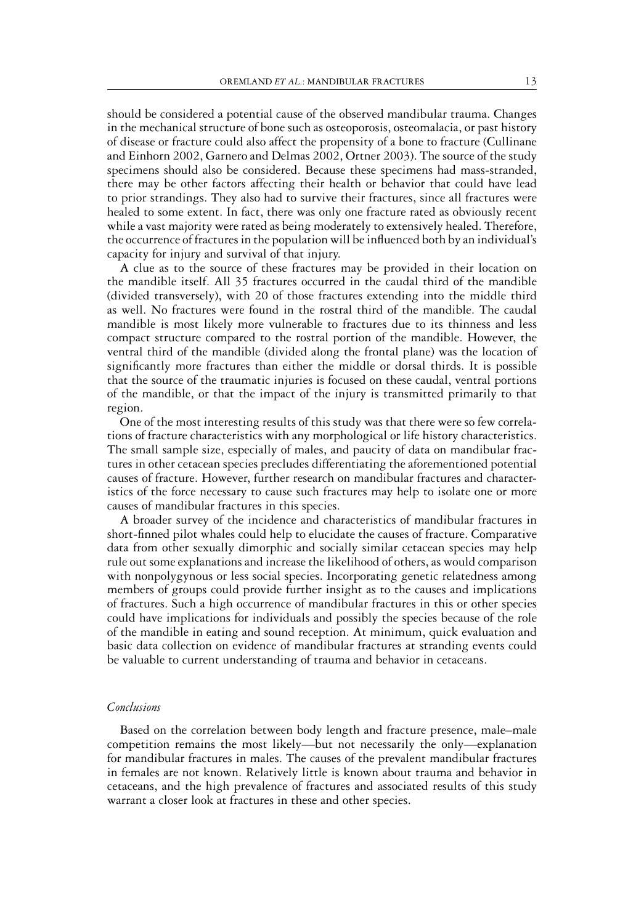should be considered a potential cause of the observed mandibular trauma. Changes in the mechanical structure of bone such as osteoporosis, osteomalacia, or past history of disease or fracture could also affect the propensity of a bone to fracture (Cullinane and Einhorn 2002, Garnero and Delmas 2002, Ortner 2003). The source of the study specimens should also be considered. Because these specimens had mass-stranded, there may be other factors affecting their health or behavior that could have lead to prior strandings. They also had to survive their fractures, since all fractures were healed to some extent. In fact, there was only one fracture rated as obviously recent while a vast majority were rated as being moderately to extensively healed. Therefore, the occurrence of fractures in the population will be influenced both by an individual's capacity for injury and survival of that injury.

A clue as to the source of these fractures may be provided in their location on the mandible itself. All 35 fractures occurred in the caudal third of the mandible (divided transversely), with 20 of those fractures extending into the middle third as well. No fractures were found in the rostral third of the mandible. The caudal mandible is most likely more vulnerable to fractures due to its thinness and less compact structure compared to the rostral portion of the mandible. However, the ventral third of the mandible (divided along the frontal plane) was the location of significantly more fractures than either the middle or dorsal thirds. It is possible that the source of the traumatic injuries is focused on these caudal, ventral portions of the mandible, or that the impact of the injury is transmitted primarily to that region.

One of the most interesting results of this study was that there were so few correlations of fracture characteristics with any morphological or life history characteristics. The small sample size, especially of males, and paucity of data on mandibular fractures in other cetacean species precludes differentiating the aforementioned potential causes of fracture. However, further research on mandibular fractures and characteristics of the force necessary to cause such fractures may help to isolate one or more causes of mandibular fractures in this species.

A broader survey of the incidence and characteristics of mandibular fractures in short-finned pilot whales could help to elucidate the causes of fracture. Comparative data from other sexually dimorphic and socially similar cetacean species may help rule out some explanations and increase the likelihood of others, as would comparison with nonpolygynous or less social species. Incorporating genetic relatedness among members of groups could provide further insight as to the causes and implications of fractures. Such a high occurrence of mandibular fractures in this or other species could have implications for individuals and possibly the species because of the role of the mandible in eating and sound reception. At minimum, quick evaluation and basic data collection on evidence of mandibular fractures at stranding events could be valuable to current understanding of trauma and behavior in cetaceans.

#### *Conclusions*

Based on the correlation between body length and fracture presence, male–male competition remains the most likely—but not necessarily the only—explanation for mandibular fractures in males. The causes of the prevalent mandibular fractures in females are not known. Relatively little is known about trauma and behavior in cetaceans, and the high prevalence of fractures and associated results of this study warrant a closer look at fractures in these and other species.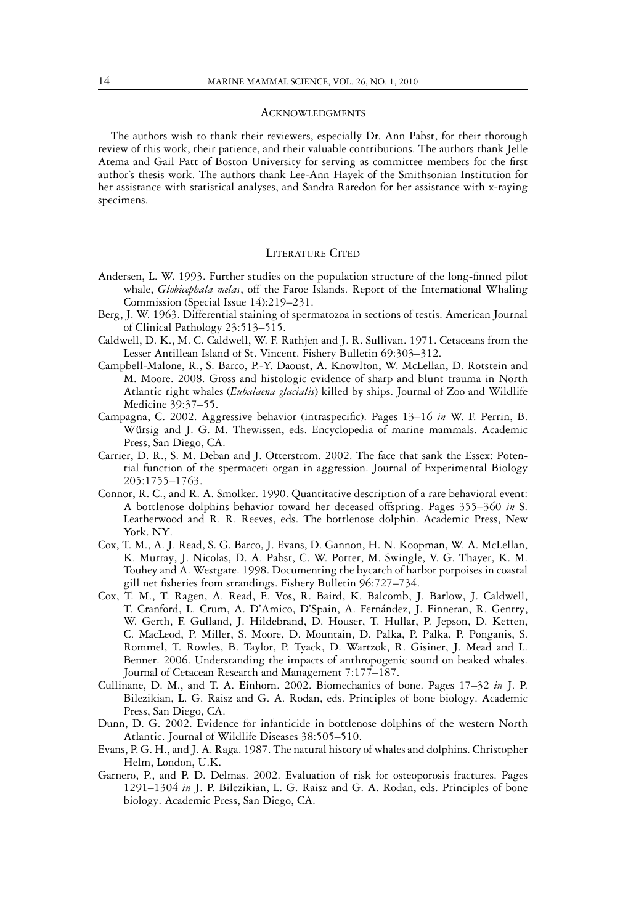#### ACKNOWI EDGMENTS

The authors wish to thank their reviewers, especially Dr. Ann Pabst, for their thorough review of this work, their patience, and their valuable contributions. The authors thank Jelle Atema and Gail Patt of Boston University for serving as committee members for the first author's thesis work. The authors thank Lee-Ann Hayek of the Smithsonian Institution for her assistance with statistical analyses, and Sandra Raredon for her assistance with x-raying specimens.

#### LITERATURE CITED

- Andersen, L. W. 1993. Further studies on the population structure of the long-finned pilot whale, *Globicephala melas*, off the Faroe Islands. Report of the International Whaling Commission (Special Issue 14):219–231.
- Berg, J. W. 1963. Differential staining of spermatozoa in sections of testis. American Journal of Clinical Pathology 23:513–515.
- Caldwell, D. K., M. C. Caldwell, W. F. Rathjen and J. R. Sullivan. 1971. Cetaceans from the Lesser Antillean Island of St. Vincent. Fishery Bulletin 69:303–312.
- Campbell-Malone, R., S. Barco, P.-Y. Daoust, A. Knowlton, W. McLellan, D. Rotstein and M. Moore. 2008. Gross and histologic evidence of sharp and blunt trauma in North Atlantic right whales (*Eubalaena glacialis*) killed by ships. Journal of Zoo and Wildlife Medicine 39:37–55.
- Campagna, C. 2002. Aggressive behavior (intraspecific). Pages 13–16 *in* W. F. Perrin, B. Würsig and J. G. M. Thewissen, eds. Encyclopedia of marine mammals. Academic Press, San Diego, CA.
- Carrier, D. R., S. M. Deban and J. Otterstrom. 2002. The face that sank the Essex: Potential function of the spermaceti organ in aggression. Journal of Experimental Biology 205:1755–1763.
- Connor, R. C., and R. A. Smolker. 1990. Quantitative description of a rare behavioral event: A bottlenose dolphins behavior toward her deceased offspring. Pages 355–360 *in* S. Leatherwood and R. R. Reeves, eds. The bottlenose dolphin. Academic Press, New York. NY.
- Cox, T. M., A. J. Read, S. G. Barco, J. Evans, D. Gannon, H. N. Koopman, W. A. McLellan, K. Murray, J. Nicolas, D. A. Pabst, C. W. Potter, M. Swingle, V. G. Thayer, K. M. Touhey and A. Westgate. 1998. Documenting the bycatch of harbor porpoises in coastal gill net fisheries from strandings. Fishery Bulletin 96:727–734.
- Cox, T. M., T. Ragen, A. Read, E. Vos, R. Baird, K. Balcomb, J. Barlow, J. Caldwell, T. Cranford, L. Crum, A. D'Amico, D'Spain, A. Fernández, J. Finneran, R. Gentry, W. Gerth, F. Gulland, J. Hildebrand, D. Houser, T. Hullar, P. Jepson, D. Ketten, C. MacLeod, P. Miller, S. Moore, D. Mountain, D. Palka, P. Palka, P. Ponganis, S. Rommel, T. Rowles, B. Taylor, P. Tyack, D. Wartzok, R. Gisiner, J. Mead and L. Benner. 2006. Understanding the impacts of anthropogenic sound on beaked whales. Journal of Cetacean Research and Management 7:177–187.
- Cullinane, D. M., and T. A. Einhorn. 2002. Biomechanics of bone. Pages 17–32 *in* J. P. Bilezikian, L. G. Raisz and G. A. Rodan, eds. Principles of bone biology. Academic Press, San Diego, CA.
- Dunn, D. G. 2002. Evidence for infanticide in bottlenose dolphins of the western North Atlantic. Journal of Wildlife Diseases 38:505–510.
- Evans, P. G. H., and J. A. Raga. 1987. The natural history of whales and dolphins. Christopher Helm, London, U.K.
- Garnero, P., and P. D. Delmas. 2002. Evaluation of risk for osteoporosis fractures. Pages 1291–1304 *in* J. P. Bilezikian, L. G. Raisz and G. A. Rodan, eds. Principles of bone biology. Academic Press, San Diego, CA.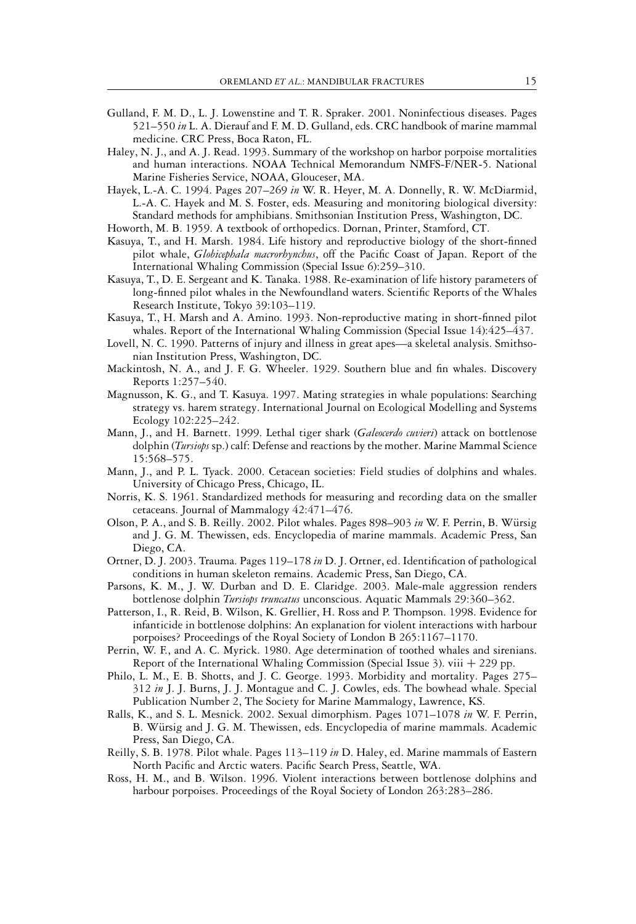- Gulland, F. M. D., L. J. Lowenstine and T. R. Spraker. 2001. Noninfectious diseases. Pages 521–550 *in* L. A. Dierauf and F. M. D. Gulland, eds. CRC handbook of marine mammal medicine. CRC Press, Boca Raton, FL.
- Haley, N. J., and A. J. Read. 1993. Summary of the workshop on harbor porpoise mortalities and human interactions. NOAA Technical Memorandum NMFS-F/NER-5. National Marine Fisheries Service, NOAA, Glouceser, MA.
- Hayek, L.-A. C. 1994. Pages 207–269 *in* W. R. Heyer, M. A. Donnelly, R. W. McDiarmid, L.-A. C. Hayek and M. S. Foster, eds. Measuring and monitoring biological diversity: Standard methods for amphibians. Smithsonian Institution Press, Washington, DC.
- Howorth, M. B. 1959. A textbook of orthopedics. Dornan, Printer, Stamford, CT.
- Kasuya, T., and H. Marsh. 1984. Life history and reproductive biology of the short-finned pilot whale, *Globicephala macrorhynchus*, off the Pacific Coast of Japan. Report of the International Whaling Commission (Special Issue 6):259–310.
- Kasuya, T., D. E. Sergeant and K. Tanaka. 1988. Re-examination of life history parameters of long-finned pilot whales in the Newfoundland waters. Scientific Reports of the Whales Research Institute, Tokyo 39:103–119.
- Kasuya, T., H. Marsh and A. Amino. 1993. Non-reproductive mating in short-finned pilot whales. Report of the International Whaling Commission (Special Issue 14):425–437.
- Lovell, N. C. 1990. Patterns of injury and illness in great apes—a skeletal analysis. Smithsonian Institution Press, Washington, DC.
- Mackintosh, N. A., and J. F. G. Wheeler. 1929. Southern blue and fin whales. Discovery Reports 1:257–540.
- Magnusson, K. G., and T. Kasuya. 1997. Mating strategies in whale populations: Searching strategy vs. harem strategy. International Journal on Ecological Modelling and Systems Ecology 102:225–242.
- Mann, J., and H. Barnett. 1999. Lethal tiger shark (*Galeocerdo cuvieri*) attack on bottlenose dolphin (*Tursiops* sp.) calf: Defense and reactions by the mother. Marine Mammal Science 15:568–575.
- Mann, J., and P. L. Tyack. 2000. Cetacean societies: Field studies of dolphins and whales. University of Chicago Press, Chicago, IL.
- Norris, K. S. 1961. Standardized methods for measuring and recording data on the smaller cetaceans. Journal of Mammalogy 42:471–476.
- Olson, P. A., and S. B. Reilly. 2002. Pilot whales. Pages 898–903 *in* W. F. Perrin, B. Wursig ¨ and J. G. M. Thewissen, eds. Encyclopedia of marine mammals. Academic Press, San Diego, CA.
- Ortner, D. J. 2003. Trauma. Pages 119–178 *in* D. J. Ortner, ed. Identification of pathological conditions in human skeleton remains. Academic Press, San Diego, CA.
- Parsons, K. M., J. W. Durban and D. E. Claridge. 2003. Male-male aggression renders bottlenose dolphin *Tursiops truncatus* unconscious. Aquatic Mammals 29:360–362.
- Patterson, I., R. Reid, B. Wilson, K. Grellier, H. Ross and P. Thompson. 1998. Evidence for infanticide in bottlenose dolphins: An explanation for violent interactions with harbour porpoises? Proceedings of the Royal Society of London B 265:1167–1170.
- Perrin, W. F., and A. C. Myrick. 1980. Age determination of toothed whales and sirenians. Report of the International Whaling Commission (Special Issue 3). viii  $+$  229 pp.
- Philo, L. M., E. B. Shotts, and J. C. George. 1993. Morbidity and mortality. Pages 275– 312 *in* J. J. Burns, J. J. Montague and C. J. Cowles, eds. The bowhead whale. Special Publication Number 2, The Society for Marine Mammalogy, Lawrence, KS.
- Ralls, K., and S. L. Mesnick. 2002. Sexual dimorphism. Pages 1071–1078 *in* W. F. Perrin, B. Würsig and J. G. M. Thewissen, eds. Encyclopedia of marine mammals. Academic Press, San Diego, CA.
- Reilly, S. B. 1978. Pilot whale. Pages 113–119 *in* D. Haley, ed. Marine mammals of Eastern North Pacific and Arctic waters. Pacific Search Press, Seattle, WA.
- Ross, H. M., and B. Wilson. 1996. Violent interactions between bottlenose dolphins and harbour porpoises. Proceedings of the Royal Society of London 263:283–286.